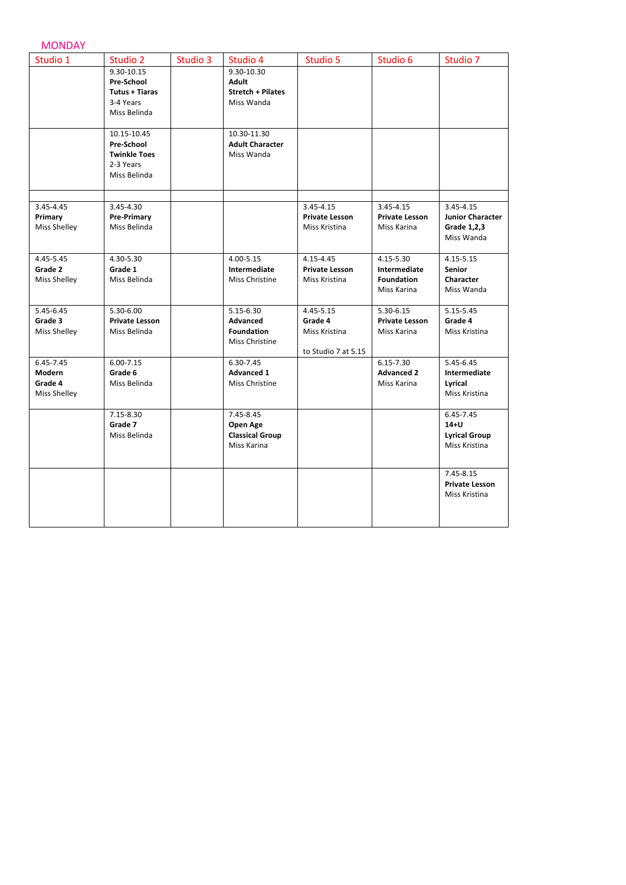## MONDAY

| Studio 1                                       | Studio 2                                                                       | Studio 3 | Studio 4                                                             | Studio 5                                                     | Studio 6                                                      | Studio 7                                                     |
|------------------------------------------------|--------------------------------------------------------------------------------|----------|----------------------------------------------------------------------|--------------------------------------------------------------|---------------------------------------------------------------|--------------------------------------------------------------|
|                                                | 9.30-10.15<br>Pre-School<br><b>Tutus + Tiaras</b><br>3-4 Years<br>Miss Belinda |          | 9.30-10.30<br><b>Adult</b><br><b>Stretch + Pilates</b><br>Miss Wanda |                                                              |                                                               |                                                              |
|                                                | 10.15-10.45<br>Pre-School<br><b>Twinkle Toes</b><br>2-3 Years<br>Miss Belinda  |          | 10.30-11.30<br><b>Adult Character</b><br>Miss Wanda                  |                                                              |                                                               |                                                              |
| 3.45-4.45                                      | 3.45-4.30                                                                      |          |                                                                      | 3.45-4.15                                                    | 3.45-4.15                                                     | 3.45-4.15                                                    |
| Primary<br>Miss Shelley                        | Pre-Primary<br>Miss Belinda                                                    |          |                                                                      | <b>Private Lesson</b><br>Miss Kristina                       | <b>Private Lesson</b><br>Miss Karina                          | <b>Junior Character</b><br>Grade 1,2,3<br>Miss Wanda         |
| 4.45-5.45<br>Grade 2<br>Miss Shelley           | 4.30-5.30<br>Grade 1<br>Miss Belinda                                           |          | 4.00-5.15<br>Intermediate<br>Miss Christine                          | 4.15-4.45<br><b>Private Lesson</b><br>Miss Kristina          | 4.15-5.30<br>Intermediate<br><b>Foundation</b><br>Miss Karina | 4.15-5.15<br><b>Senior</b><br>Character<br>Miss Wanda        |
| 5.45-6.45<br>Grade 3<br>Miss Shelley           | 5.30-6.00<br><b>Private Lesson</b><br>Miss Belinda                             |          | 5.15-6.30<br>Advanced<br><b>Foundation</b><br>Miss Christine         | 4.45-5.15<br>Grade 4<br>Miss Kristina<br>to Studio 7 at 5.15 | 5.30-6.15<br><b>Private Lesson</b><br>Miss Karina             | 5.15-5.45<br>Grade 4<br>Miss Kristina                        |
| 6.45-7.45<br>Modern<br>Grade 4<br>Miss Shelley | $6.00 - 7.15$<br>Grade 6<br>Miss Belinda                                       |          | 6.30-7.45<br><b>Advanced 1</b><br>Miss Christine                     |                                                              | 6.15-7.30<br><b>Advanced 2</b><br>Miss Karina                 | 5.45-6.45<br>Intermediate<br>Lyrical<br>Miss Kristina        |
|                                                | 7.15-8.30<br>Grade 7<br>Miss Belinda                                           |          | 7.45-8.45<br>Open Age<br><b>Classical Group</b><br>Miss Karina       |                                                              |                                                               | 6.45-7.45<br>$14+U$<br><b>Lyrical Group</b><br>Miss Kristina |
|                                                |                                                                                |          |                                                                      |                                                              |                                                               | 7.45-8.15<br><b>Private Lesson</b><br>Miss Kristina          |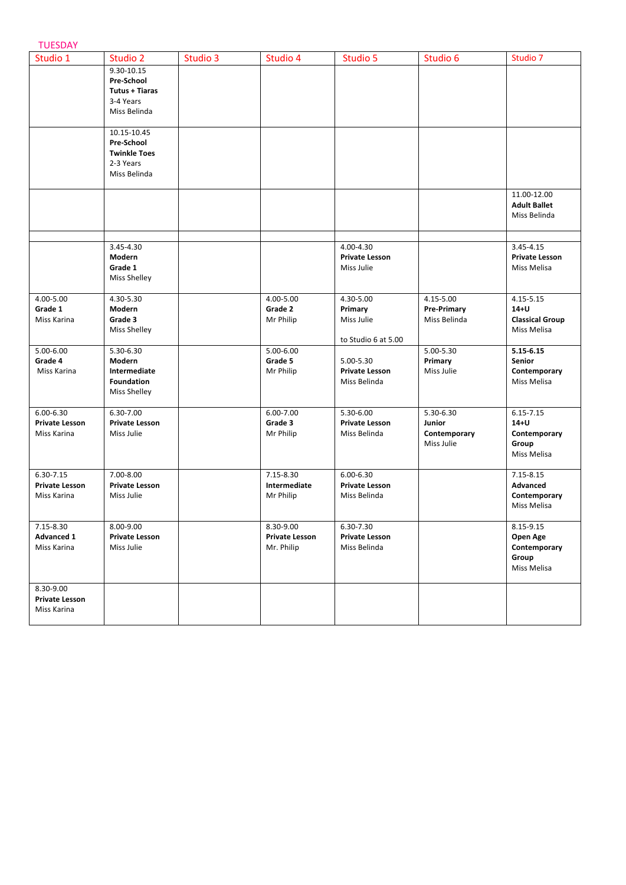| Studio 1              | Studio 2              | Studio 3 | Studio 4              | Studio 5              | Studio 6           | Studio 7               |
|-----------------------|-----------------------|----------|-----------------------|-----------------------|--------------------|------------------------|
|                       | 9.30-10.15            |          |                       |                       |                    |                        |
|                       | Pre-School            |          |                       |                       |                    |                        |
|                       | Tutus + Tiaras        |          |                       |                       |                    |                        |
|                       | 3-4 Years             |          |                       |                       |                    |                        |
|                       | Miss Belinda          |          |                       |                       |                    |                        |
|                       | 10.15-10.45           |          |                       |                       |                    |                        |
|                       | Pre-School            |          |                       |                       |                    |                        |
|                       | <b>Twinkle Toes</b>   |          |                       |                       |                    |                        |
|                       | 2-3 Years             |          |                       |                       |                    |                        |
|                       | Miss Belinda          |          |                       |                       |                    |                        |
|                       |                       |          |                       |                       |                    | 11.00-12.00            |
|                       |                       |          |                       |                       |                    | <b>Adult Ballet</b>    |
|                       |                       |          |                       |                       |                    | Miss Belinda           |
|                       |                       |          |                       |                       |                    |                        |
|                       | 3.45-4.30             |          |                       | 4.00-4.30             |                    | 3.45-4.15              |
|                       | Modern                |          |                       | <b>Private Lesson</b> |                    | <b>Private Lesson</b>  |
|                       | Grade 1               |          |                       | Miss Julie            |                    | Miss Melisa            |
|                       | <b>Miss Shelley</b>   |          |                       |                       |                    |                        |
| 4.00-5.00             | 4.30-5.30             |          | 4.00-5.00             | 4.30-5.00             | 4.15-5.00          | 4.15-5.15              |
| Grade 1               | Modern                |          | Grade 2               | Primary               | <b>Pre-Primary</b> | $14+U$                 |
| Miss Karina           | Grade 3               |          | Mr Philip             | Miss Julie            | Miss Belinda       | <b>Classical Group</b> |
|                       | Miss Shelley          |          |                       |                       |                    | Miss Melisa            |
| 5.00-6.00             | 5.30-6.30             |          | 5.00-6.00             | to Studio 6 at 5.00   | 5.00-5.30          | $5.15 - 6.15$          |
| Grade 4               | Modern                |          | Grade 5               | 5.00-5.30             | Primary            | Senior                 |
| Miss Karina           | Intermediate          |          | Mr Philip             | <b>Private Lesson</b> | Miss Julie         | Contemporary           |
|                       | <b>Foundation</b>     |          |                       | Miss Belinda          |                    | Miss Melisa            |
|                       | Miss Shelley          |          |                       |                       |                    |                        |
| $6.00 - 6.30$         | 6.30-7.00             |          | 6.00-7.00             | 5.30-6.00             | 5.30-6.30          | $6.15 - 7.15$          |
| <b>Private Lesson</b> | <b>Private Lesson</b> |          | Grade 3               | <b>Private Lesson</b> | Junior             | $14+U$                 |
| Miss Karina           | Miss Julie            |          | Mr Philip             | Miss Belinda          | Contemporary       | Contemporary           |
|                       |                       |          |                       |                       | Miss Julie         | Group                  |
|                       |                       |          |                       |                       |                    | Miss Melisa            |
| 6.30-7.15             | 7.00-8.00             |          | 7.15-8.30             | $6.00 - 6.30$         |                    | 7.15-8.15              |
| <b>Private Lesson</b> | <b>Private Lesson</b> |          | Intermediate          | <b>Private Lesson</b> |                    | Advanced               |
| Miss Karina           | Miss Julie            |          | Mr Philip             | Miss Belinda          |                    | Contemporary           |
|                       |                       |          |                       |                       |                    | Miss Melisa            |
| 7.15-8.30             | 8.00-9.00             |          | 8.30-9.00             | 6.30-7.30             |                    | 8.15-9.15              |
| <b>Advanced 1</b>     | <b>Private Lesson</b> |          | <b>Private Lesson</b> | <b>Private Lesson</b> |                    | Open Age               |
| Miss Karina           | Miss Julie            |          | Mr. Philip            | Miss Belinda          |                    | Contemporary           |
|                       |                       |          |                       |                       |                    | Group                  |
|                       |                       |          |                       |                       |                    | Miss Melisa            |
| 8.30-9.00             |                       |          |                       |                       |                    |                        |
| <b>Private Lesson</b> |                       |          |                       |                       |                    |                        |
| Miss Karina           |                       |          |                       |                       |                    |                        |
|                       |                       |          |                       |                       |                    |                        |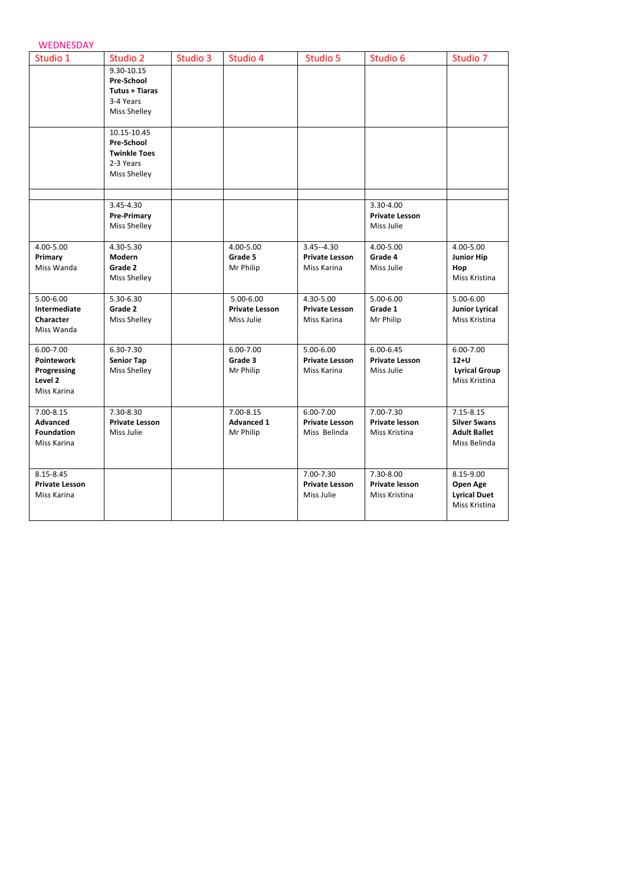| <b>WEDNESDAY</b>                     |                       |          |                       |                                     |                                        |                                 |
|--------------------------------------|-----------------------|----------|-----------------------|-------------------------------------|----------------------------------------|---------------------------------|
| Studio 1                             | Studio 2              | Studio 3 | Studio 4              | Studio 5                            | Studio 6                               | Studio 7                        |
|                                      | 9.30-10.15            |          |                       |                                     |                                        |                                 |
|                                      | <b>Pre-School</b>     |          |                       |                                     |                                        |                                 |
|                                      | <b>Tutus + Tiaras</b> |          |                       |                                     |                                        |                                 |
|                                      | 3-4 Years             |          |                       |                                     |                                        |                                 |
|                                      | Miss Shelley          |          |                       |                                     |                                        |                                 |
|                                      | 10.15-10.45           |          |                       |                                     |                                        |                                 |
|                                      | <b>Pre-School</b>     |          |                       |                                     |                                        |                                 |
|                                      | <b>Twinkle Toes</b>   |          |                       |                                     |                                        |                                 |
|                                      | 2-3 Years             |          |                       |                                     |                                        |                                 |
|                                      | Miss Shelley          |          |                       |                                     |                                        |                                 |
|                                      |                       |          |                       |                                     |                                        |                                 |
|                                      | 3.45-4.30             |          |                       |                                     | 3.30-4.00                              |                                 |
|                                      | <b>Pre-Primary</b>    |          |                       |                                     | <b>Private Lesson</b>                  |                                 |
|                                      | Miss Shelley          |          |                       |                                     | Miss Julie                             |                                 |
| 4.00-5.00                            | 4.30-5.30             |          | 4.00-5.00             | $3.45 - 4.30$                       | 4.00-5.00                              | 4.00-5.00                       |
| Primary                              | Modern                |          | Grade 5               | <b>Private Lesson</b>               | Grade 4                                | <b>Junior Hip</b>               |
| Miss Wanda                           | Grade 2               |          | Mr Philip             | Miss Karina                         | Miss Julie                             | Hop                             |
|                                      | Miss Shelley          |          |                       |                                     |                                        | Miss Kristina                   |
| 5.00-6.00                            | 5.30-6.30             |          | 5.00-6.00             | 4.30-5.00                           | 5.00-6.00                              | 5.00-6.00                       |
| Intermediate                         | Grade 2               |          | <b>Private Lesson</b> | <b>Private Lesson</b>               | Grade 1                                | <b>Junior Lyrical</b>           |
| Character                            | Miss Shelley          |          | Miss Julie            | Miss Karina                         | Mr Philip                              | Miss Kristina                   |
| Miss Wanda                           |                       |          |                       |                                     |                                        |                                 |
| 6.00-7.00                            | 6.30-7.30             |          | 6.00-7.00             | 5.00-6.00                           | $6.00 - 6.45$                          | 6.00-7.00                       |
| Pointework                           | <b>Senior Tap</b>     |          | Grade 3               | <b>Private Lesson</b>               | <b>Private Lesson</b>                  | $12+U$                          |
| Progressing                          | <b>Miss Shelley</b>   |          | Mr Philip             | Miss Karina                         | Miss Julie                             | <b>Lyrical Group</b>            |
| Level 2<br>Miss Karina               |                       |          |                       |                                     |                                        | Miss Kristina                   |
|                                      |                       |          |                       |                                     |                                        |                                 |
| 7.00-8.15                            | 7.30-8.30             |          | 7.00-8.15             | 6.00-7.00                           | 7.00-7.30                              | $7.15 - 8.15$                   |
| <b>Advanced</b>                      | <b>Private Lesson</b> |          | <b>Advanced 1</b>     | <b>Private Lesson</b>               | <b>Private lesson</b>                  | <b>Silver Swans</b>             |
| <b>Foundation</b>                    | Miss Julie            |          | Mr Philip             | Miss Belinda                        | Miss Kristina                          | <b>Adult Ballet</b>             |
| Miss Karina                          |                       |          |                       |                                     |                                        | Miss Belinda                    |
|                                      |                       |          |                       |                                     |                                        |                                 |
| 8.15-8.45                            |                       |          |                       | 7.00-7.30                           | 7.30-8.00                              | 8.15-9.00                       |
| <b>Private Lesson</b><br>Miss Karina |                       |          |                       | <b>Private Lesson</b><br>Miss Julie | <b>Private lesson</b><br>Miss Kristina | Open Age<br><b>Lyrical Duet</b> |
|                                      |                       |          |                       |                                     |                                        | Miss Kristina                   |
|                                      |                       |          |                       |                                     |                                        |                                 |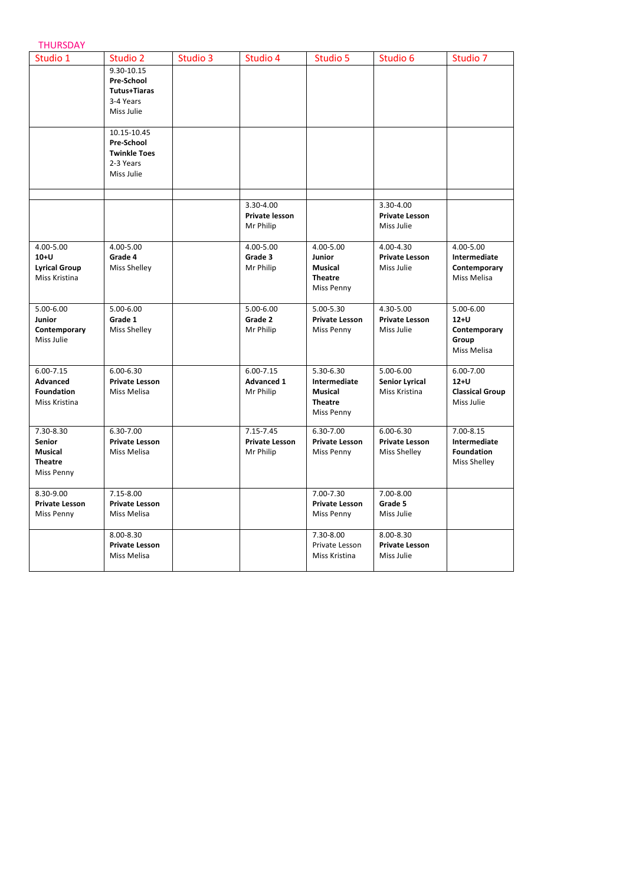|  | HURSDAY |  |
|--|---------|--|
|  |         |  |
|  |         |  |
|  |         |  |

| Studio 1              | Studio 2              | Studio 3 | Studio 4              | Studio 5              | Studio 6              | Studio 7               |
|-----------------------|-----------------------|----------|-----------------------|-----------------------|-----------------------|------------------------|
|                       | 9.30-10.15            |          |                       |                       |                       |                        |
|                       | <b>Pre-School</b>     |          |                       |                       |                       |                        |
|                       | Tutus+Tiaras          |          |                       |                       |                       |                        |
|                       | 3-4 Years             |          |                       |                       |                       |                        |
|                       | Miss Julie            |          |                       |                       |                       |                        |
|                       | 10.15-10.45           |          |                       |                       |                       |                        |
|                       | Pre-School            |          |                       |                       |                       |                        |
|                       | <b>Twinkle Toes</b>   |          |                       |                       |                       |                        |
|                       | 2-3 Years             |          |                       |                       |                       |                        |
|                       | Miss Julie            |          |                       |                       |                       |                        |
|                       |                       |          |                       |                       |                       |                        |
|                       |                       |          | 3.30-4.00             |                       | 3.30-4.00             |                        |
|                       |                       |          | <b>Private lesson</b> |                       | <b>Private Lesson</b> |                        |
|                       |                       |          | Mr Philip             |                       | Miss Julie            |                        |
| 4.00-5.00             | 4.00-5.00             |          | 4.00-5.00             | 4.00-5.00             | 4.00-4.30             | 4.00-5.00              |
| $10+U$                | Grade 4               |          | Grade 3               | Junior                | <b>Private Lesson</b> | Intermediate           |
| <b>Lyrical Group</b>  | <b>Miss Shelley</b>   |          | Mr Philip             | <b>Musical</b>        | Miss Julie            | Contemporary           |
| Miss Kristina         |                       |          |                       | <b>Theatre</b>        |                       | Miss Melisa            |
|                       |                       |          |                       | Miss Penny            |                       |                        |
| 5.00-6.00             | 5.00-6.00             |          | 5.00-6.00             | 5.00-5.30             | 4.30-5.00             | 5.00-6.00              |
| Junior                | Grade 1               |          | Grade 2               | <b>Private Lesson</b> | <b>Private Lesson</b> | $12+U$                 |
| Contemporary          | Miss Shelley          |          | Mr Philip             | Miss Penny            | Miss Julie            | Contemporary           |
| Miss Julie            |                       |          |                       |                       |                       | Group                  |
|                       |                       |          |                       |                       |                       | Miss Melisa            |
| 6.00-7.15             | $6.00 - 6.30$         |          | $6.00 - 7.15$         | 5.30-6.30             | 5.00-6.00             | 6.00-7.00              |
| Advanced              | <b>Private Lesson</b> |          | <b>Advanced 1</b>     | Intermediate          | <b>Senior Lyrical</b> | $12+U$                 |
| <b>Foundation</b>     | Miss Melisa           |          | Mr Philip             | <b>Musical</b>        | Miss Kristina         | <b>Classical Group</b> |
| Miss Kristina         |                       |          |                       | <b>Theatre</b>        |                       | Miss Julie             |
|                       |                       |          |                       | Miss Penny            |                       |                        |
| 7.30-8.30             | 6.30-7.00             |          | 7.15-7.45             | 6.30-7.00             | $6.00 - 6.30$         | 7.00-8.15              |
| <b>Senior</b>         | <b>Private Lesson</b> |          | <b>Private Lesson</b> | <b>Private Lesson</b> | <b>Private Lesson</b> | Intermediate           |
| <b>Musical</b>        | Miss Melisa           |          | Mr Philip             | Miss Penny            | Miss Shelley          | <b>Foundation</b>      |
| <b>Theatre</b>        |                       |          |                       |                       |                       | Miss Shelley           |
| Miss Penny            |                       |          |                       |                       |                       |                        |
| 8.30-9.00             | 7.15-8.00             |          |                       | 7.00-7.30             | 7.00-8.00             |                        |
| <b>Private Lesson</b> | <b>Private Lesson</b> |          |                       | Private Lesson        | Grade 5               |                        |
| Miss Penny            | Miss Melisa           |          |                       | Miss Penny            | Miss Julie            |                        |
|                       | 8.00-8.30             |          |                       | 7.30-8.00             | 8.00-8.30             |                        |
|                       | <b>Private Lesson</b> |          |                       | Private Lesson        | <b>Private Lesson</b> |                        |
|                       | Miss Melisa           |          |                       | Miss Kristina         | Miss Julie            |                        |
|                       |                       |          |                       |                       |                       |                        |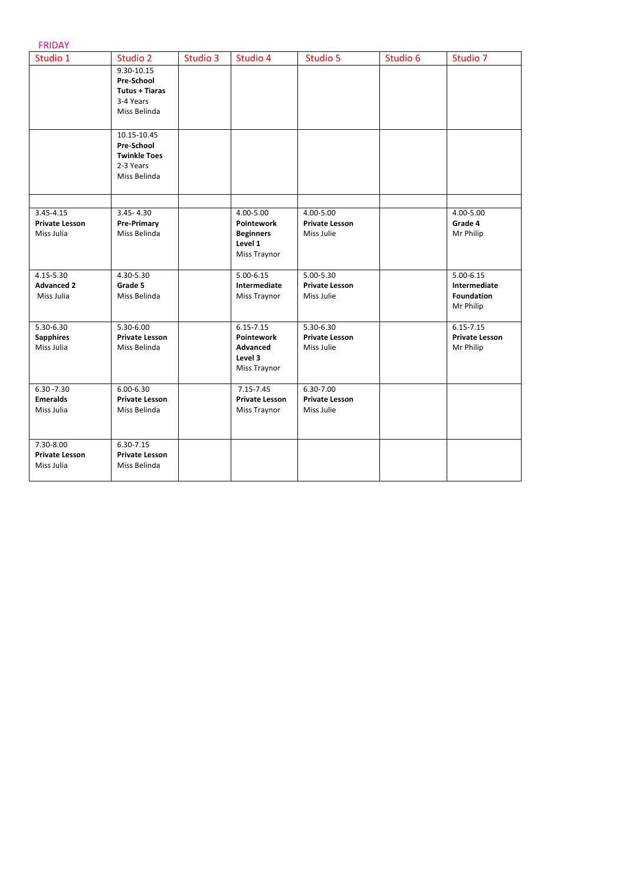## FRIDAY

| Studio 1              | Studio 2              | Studio 3 | Studio 4              | Studio 5              | Studio 6 | Studio 7              |
|-----------------------|-----------------------|----------|-----------------------|-----------------------|----------|-----------------------|
|                       | 9.30-10.15            |          |                       |                       |          |                       |
|                       | Pre-School            |          |                       |                       |          |                       |
|                       | Tutus + Tiaras        |          |                       |                       |          |                       |
|                       | 3-4 Years             |          |                       |                       |          |                       |
|                       | Miss Belinda          |          |                       |                       |          |                       |
|                       |                       |          |                       |                       |          |                       |
|                       | 10.15-10.45           |          |                       |                       |          |                       |
|                       | Pre-School            |          |                       |                       |          |                       |
|                       | <b>Twinkle Toes</b>   |          |                       |                       |          |                       |
|                       | 2-3 Years             |          |                       |                       |          |                       |
|                       | Miss Belinda          |          |                       |                       |          |                       |
|                       |                       |          |                       |                       |          |                       |
|                       |                       |          |                       |                       |          |                       |
| $3.45 - 4.15$         | $3.45 - 4.30$         |          | 4.00-5.00             | 4.00-5.00             |          | 4.00-5.00             |
| <b>Private Lesson</b> | <b>Pre-Primary</b>    |          | <b>Pointework</b>     | <b>Private Lesson</b> |          | Grade 4               |
| Miss Julia            | Miss Belinda          |          | <b>Beginners</b>      | Miss Julie            |          | Mr Philip             |
|                       |                       |          | Level 1               |                       |          |                       |
|                       |                       |          | Miss Traynor          |                       |          |                       |
| 4.15-5.30             | 4.30-5.30             |          | $5.00 - 6.15$         | 5.00-5.30             |          | $5.00 - 6.15$         |
| <b>Advanced 2</b>     | Grade 5               |          | Intermediate          | <b>Private Lesson</b> |          | Intermediate          |
| Miss Julia            | Miss Belinda          |          | Miss Traynor          | Miss Julie            |          | Foundation            |
|                       |                       |          |                       |                       |          | Mr Philip             |
|                       |                       |          |                       |                       |          |                       |
| 5.30-6.30             | 5.30-6.00             |          | $6.15 - 7.15$         | 5.30-6.30             |          | $6.15 - 7.15$         |
| <b>Sapphires</b>      | <b>Private Lesson</b> |          | <b>Pointework</b>     | <b>Private Lesson</b> |          | <b>Private Lesson</b> |
| Miss Julia            | Miss Belinda          |          | Advanced              | Miss Julie            |          | Mr Philip             |
|                       |                       |          | Level 3               |                       |          |                       |
|                       |                       |          | Miss Traynor          |                       |          |                       |
| $6.30 - 7.30$         | $6.00 - 6.30$         |          | $7.15 - 7.45$         | 6.30-7.00             |          |                       |
| <b>Emeralds</b>       | <b>Private Lesson</b> |          | <b>Private Lesson</b> | <b>Private Lesson</b> |          |                       |
| Miss Julia            | Miss Belinda          |          | Miss Traynor          | Miss Julie            |          |                       |
|                       |                       |          |                       |                       |          |                       |
|                       |                       |          |                       |                       |          |                       |
| 7.30-8.00             | $6.30 - 7.15$         |          |                       |                       |          |                       |
| <b>Private Lesson</b> | <b>Private Lesson</b> |          |                       |                       |          |                       |
| Miss Julia            | Miss Belinda          |          |                       |                       |          |                       |
|                       |                       |          |                       |                       |          |                       |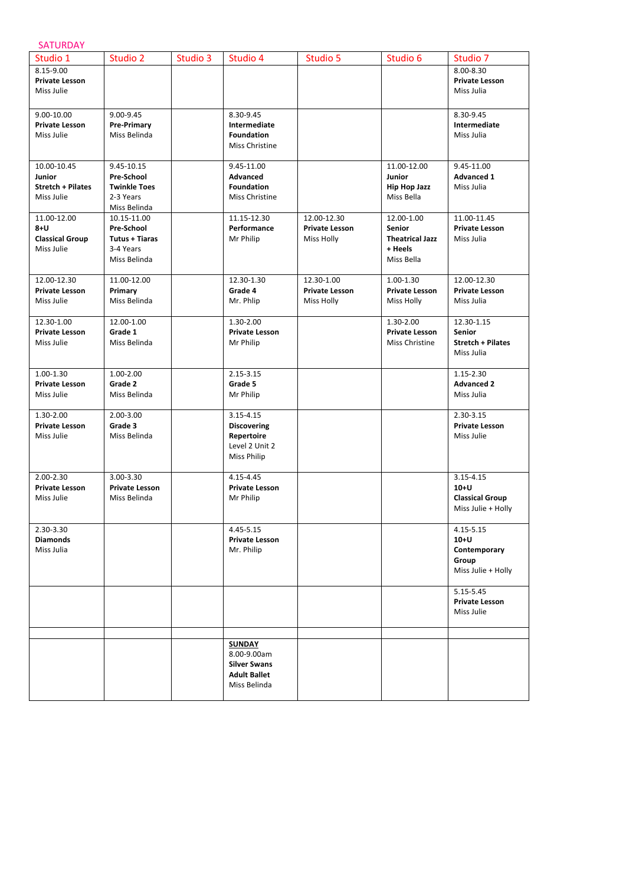| <b>SATURDAY</b>                                                 |                                                                              |          |                                                                                            |                                                    |                                                                                |                                                                       |
|-----------------------------------------------------------------|------------------------------------------------------------------------------|----------|--------------------------------------------------------------------------------------------|----------------------------------------------------|--------------------------------------------------------------------------------|-----------------------------------------------------------------------|
| Studio 1                                                        | Studio 2                                                                     | Studio 3 | Studio 4                                                                                   | Studio 5                                           | Studio 6                                                                       | Studio 7                                                              |
| 8.15-9.00<br><b>Private Lesson</b><br>Miss Julie                |                                                                              |          |                                                                                            |                                                    |                                                                                | 8.00-8.30<br><b>Private Lesson</b><br>Miss Julia                      |
| 9.00-10.00<br><b>Private Lesson</b><br>Miss Julie               | 9.00-9.45<br><b>Pre-Primary</b><br>Miss Belinda                              |          | 8.30-9.45<br>Intermediate<br><b>Foundation</b><br>Miss Christine                           |                                                    |                                                                                | 8.30-9.45<br>Intermediate<br>Miss Julia                               |
| 10.00-10.45<br>Junior<br><b>Stretch + Pilates</b><br>Miss Julie | 9.45-10.15<br>Pre-School<br><b>Twinkle Toes</b><br>2-3 Years<br>Miss Belinda |          | 9.45-11.00<br>Advanced<br><b>Foundation</b><br>Miss Christine                              |                                                    | 11.00-12.00<br><b>Junior</b><br><b>Hip Hop Jazz</b><br>Miss Bella              | 9.45-11.00<br><b>Advanced 1</b><br>Miss Julia                         |
| 11.00-12.00<br>$8+U$<br><b>Classical Group</b><br>Miss Julie    | 10.15-11.00<br>Pre-School<br>Tutus + Tiaras<br>3-4 Years<br>Miss Belinda     |          | 11.15-12.30<br>Performance<br>Mr Philip                                                    | 12.00-12.30<br><b>Private Lesson</b><br>Miss Holly | 12.00-1.00<br><b>Senior</b><br><b>Theatrical Jazz</b><br>+ Heels<br>Miss Bella | 11.00-11.45<br><b>Private Lesson</b><br>Miss Julia                    |
| 12.00-12.30<br><b>Private Lesson</b><br>Miss Julie              | 11.00-12.00<br>Primary<br>Miss Belinda                                       |          | 12.30-1.30<br>Grade 4<br>Mr. Phlip                                                         | 12.30-1.00<br><b>Private Lesson</b><br>Miss Holly  | 1.00-1.30<br><b>Private Lesson</b><br>Miss Holly                               | 12.00-12.30<br><b>Private Lesson</b><br>Miss Julia                    |
| 12.30-1.00<br><b>Private Lesson</b><br>Miss Julie               | 12.00-1.00<br>Grade 1<br>Miss Belinda                                        |          | 1.30-2.00<br><b>Private Lesson</b><br>Mr Philip                                            |                                                    | 1.30-2.00<br><b>Private Lesson</b><br>Miss Christine                           | 12.30-1.15<br><b>Senior</b><br><b>Stretch + Pilates</b><br>Miss Julia |
| 1.00-1.30<br><b>Private Lesson</b><br>Miss Julie                | 1.00-2.00<br>Grade 2<br>Miss Belinda                                         |          | 2.15-3.15<br>Grade 5<br>Mr Philip                                                          |                                                    |                                                                                | 1.15-2.30<br><b>Advanced 2</b><br>Miss Julia                          |
| 1.30-2.00<br><b>Private Lesson</b><br>Miss Julie                | 2.00-3.00<br>Grade 3<br>Miss Belinda                                         |          | 3.15-4.15<br><b>Discovering</b><br>Repertoire<br>Level 2 Unit 2<br>Miss Philip             |                                                    |                                                                                | 2.30-3.15<br><b>Private Lesson</b><br>Miss Julie                      |
| 2.00-2.30<br><b>Private Lesson</b><br>Miss Julie                | 3.00-3.30<br><b>Private Lesson</b><br>Miss Belinda                           |          | 4.15-4.45<br><b>Private Lesson</b><br>Mr Philip                                            |                                                    |                                                                                | 3.15-4.15<br>$10+U$<br><b>Classical Group</b><br>Miss Julie + Holly   |
| 2.30-3.30<br><b>Diamonds</b><br>Miss Julia                      |                                                                              |          | 4.45-5.15<br><b>Private Lesson</b><br>Mr. Philip                                           |                                                    |                                                                                | 4.15-5.15<br>$10+U$<br>Contemporary<br>Group<br>Miss Julie + Holly    |
|                                                                 |                                                                              |          |                                                                                            |                                                    |                                                                                | 5.15-5.45<br><b>Private Lesson</b><br>Miss Julie                      |
|                                                                 |                                                                              |          | <b>SUNDAY</b><br>8.00-9.00am<br><b>Silver Swans</b><br><b>Adult Ballet</b><br>Miss Belinda |                                                    |                                                                                |                                                                       |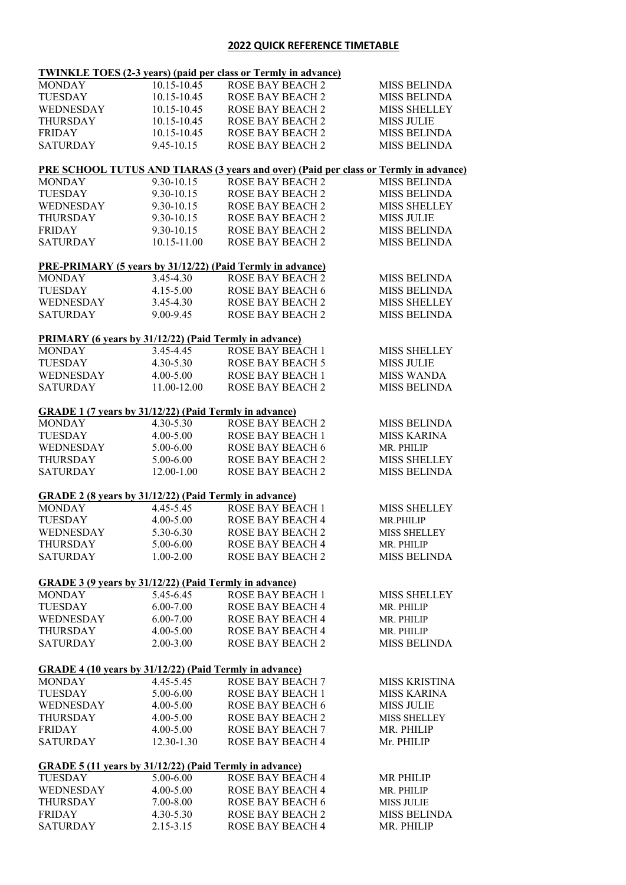## **2022 QUICK REFERENCE TIMETABLE**

|                                                                |                         | <b>TWINKLE TOES (2-3 years) (paid per class or Termly in advance)</b>                       |                                            |
|----------------------------------------------------------------|-------------------------|---------------------------------------------------------------------------------------------|--------------------------------------------|
| <b>MONDAY</b>                                                  | 10.15-10.45             | <b>ROSE BAY BEACH 2</b>                                                                     | <b>MISS BELINDA</b>                        |
| <b>TUESDAY</b>                                                 | 10.15-10.45             | <b>ROSE BAY BEACH 2</b>                                                                     | <b>MISS BELINDA</b>                        |
| WEDNESDAY                                                      | 10.15-10.45             | <b>ROSE BAY BEACH 2</b>                                                                     | <b>MISS SHELLEY</b>                        |
| <b>THURSDAY</b>                                                | 10.15-10.45             | <b>ROSE BAY BEACH 2</b>                                                                     | <b>MISS JULIE</b>                          |
| <b>FRIDAY</b>                                                  | 10.15-10.45             | <b>ROSE BAY BEACH 2</b>                                                                     | <b>MISS BELINDA</b>                        |
| <b>SATURDAY</b>                                                | 9.45-10.15              | <b>ROSE BAY BEACH 2</b>                                                                     | <b>MISS BELINDA</b>                        |
|                                                                |                         | <b>PRE SCHOOL TUTUS AND TIARAS (3 years and over) (Paid per class or Termly in advance)</b> |                                            |
| <b>MONDAY</b>                                                  | 9.30-10.15              | <b>ROSE BAY BEACH 2</b>                                                                     | <b>MISS BELINDA</b>                        |
| <b>TUESDAY</b>                                                 | 9.30-10.15              | <b>ROSE BAY BEACH 2</b>                                                                     | <b>MISS BELINDA</b>                        |
| WEDNESDAY                                                      | 9.30-10.15              | <b>ROSE BAY BEACH 2</b>                                                                     | MISS SHELLEY                               |
| <b>THURSDAY</b>                                                | 9.30-10.15              | <b>ROSE BAY BEACH 2</b>                                                                     | <b>MISS JULIE</b>                          |
| <b>FRIDAY</b>                                                  | 9.30-10.15              | <b>ROSE BAY BEACH 2</b>                                                                     | <b>MISS BELINDA</b>                        |
| <b>SATURDAY</b>                                                | 10.15-11.00             | <b>ROSE BAY BEACH 2</b>                                                                     | <b>MISS BELINDA</b>                        |
| PRE-PRIMARY (5 years by 31/12/22) (Paid Termly in advance)     |                         |                                                                                             |                                            |
| <b>MONDAY</b>                                                  | 3.45-4.30               | <b>ROSE BAY BEACH 2</b>                                                                     | <b>MISS BELINDA</b>                        |
| <b>TUESDAY</b>                                                 | $4.15 - 5.00$           | <b>ROSE BAY BEACH 6</b>                                                                     | <b>MISS BELINDA</b>                        |
| <b>WEDNESDAY</b>                                               | 3.45-4.30               | <b>ROSE BAY BEACH 2</b>                                                                     | <b>MISS SHELLEY</b>                        |
| <b>SATURDAY</b>                                                | 9.00-9.45               | <b>ROSE BAY BEACH 2</b>                                                                     | <b>MISS BELINDA</b>                        |
| <b>PRIMARY</b> (6 years by 31/12/22) (Paid Termly in advance)  |                         |                                                                                             |                                            |
| <b>MONDAY</b>                                                  | 3.45-4.45               | <b>ROSE BAY BEACH 1</b>                                                                     | <b>MISS SHELLEY</b>                        |
| <b>TUESDAY</b>                                                 | 4.30-5.30               | <b>ROSE BAY BEACH 5</b>                                                                     | <b>MISS JULIE</b>                          |
| WEDNESDAY                                                      | 4.00-5.00               | <b>ROSE BAY BEACH 1</b>                                                                     | <b>MISS WANDA</b>                          |
| <b>SATURDAY</b>                                                | 11.00-12.00             | <b>ROSE BAY BEACH 2</b>                                                                     | <b>MISS BELINDA</b>                        |
| <b>GRADE 1 (7 years by 31/12/22) (Paid Termly in advance)</b>  |                         |                                                                                             |                                            |
| <b>MONDAY</b>                                                  | 4.30-5.30               | <b>ROSE BAY BEACH 2</b>                                                                     | <b>MISS BELINDA</b>                        |
| <b>TUESDAY</b>                                                 | 4.00-5.00               | <b>ROSE BAY BEACH 1</b>                                                                     | <b>MISS KARINA</b>                         |
| WEDNESDAY                                                      | 5.00-6.00               | <b>ROSE BAY BEACH 6</b>                                                                     | MR. PHILIP                                 |
| <b>THURSDAY</b>                                                | 5.00-6.00               | <b>ROSE BAY BEACH 2</b>                                                                     | MISS SHELLEY                               |
| <b>SATURDAY</b>                                                | 12.00-1.00              | <b>ROSE BAY BEACH 2</b>                                                                     | <b>MISS BELINDA</b>                        |
| <b>GRADE 2 (8 years by 31/12/22) (Paid Termly in advance)</b>  |                         |                                                                                             |                                            |
| <b>MONDAY</b>                                                  | 4.45-5.45               | <b>ROSE BAY BEACH 1</b>                                                                     | <b>MISS SHELLEY</b>                        |
| <b>TUESDAY</b>                                                 | 4.00-5.00               | <b>ROSE BAY BEACH 4</b>                                                                     | MR.PHILIP                                  |
| WEDNESDAY                                                      | 5.30-6.30               | <b>ROSE BAY BEACH 2</b>                                                                     | <b>MISS SHELLEY</b>                        |
| THURSDAY                                                       | 5.00-6.00               | ROSE BAY BEACH 4                                                                            | MR. PHILIP                                 |
| <b>SATURDAY</b>                                                | 1.00-2.00               | <b>ROSE BAY BEACH 2</b>                                                                     | <b>MISS BELINDA</b>                        |
| <b>GRADE 3 (9 years by 31/12/22) (Paid Termly in advance)</b>  |                         |                                                                                             |                                            |
| <b>MONDAY</b>                                                  | 5.45-6.45               | <b>ROSE BAY BEACH 1</b>                                                                     | <b>MISS SHELLEY</b>                        |
| <b>TUESDAY</b>                                                 | $6.00 - 7.00$           | ROSE BAY BEACH 4                                                                            | MR. PHILIP                                 |
| WEDNESDAY                                                      | 6.00-7.00               | ROSE BAY BEACH 4                                                                            | MR. PHILIP                                 |
| <b>THURSDAY</b>                                                | 4.00-5.00               | <b>ROSE BAY BEACH 4</b>                                                                     | MR. PHILIP                                 |
| <b>SATURDAY</b>                                                | 2.00-3.00               | <b>ROSE BAY BEACH 2</b>                                                                     | <b>MISS BELINDA</b>                        |
|                                                                |                         |                                                                                             |                                            |
| GRADE 4 (10 years by 31/12/22) (Paid Termly in advance)        | 4.45-5.45               |                                                                                             |                                            |
| <b>MONDAY</b><br><b>TUESDAY</b>                                | 5.00-6.00               | <b>ROSE BAY BEACH 7</b>                                                                     | <b>MISS KRISTINA</b><br><b>MISS KARINA</b> |
|                                                                |                         | ROSE BAY BEACH 1                                                                            |                                            |
| WEDNESDAY                                                      | 4.00-5.00               | ROSE BAY BEACH 6                                                                            | <b>MISS JULIE</b>                          |
| <b>THURSDAY</b>                                                | 4.00-5.00               | <b>ROSE BAY BEACH 2</b>                                                                     | <b>MISS SHELLEY</b>                        |
| <b>FRIDAY</b><br><b>SATURDAY</b>                               | 4.00-5.00<br>12.30-1.30 | <b>ROSE BAY BEACH 7</b><br><b>ROSE BAY BEACH 4</b>                                          | MR. PHILIP<br>Mr. PHILIP                   |
| <b>GRADE 5 (11 years by 31/12/22) (Paid Termly in advance)</b> |                         |                                                                                             |                                            |
| <b>TUESDAY</b>                                                 | 5.00-6.00               | ROSE BAY BEACH 4                                                                            | <b>MR PHILIP</b>                           |
| WEDNESDAY                                                      | 4.00-5.00               | <b>ROSE BAY BEACH 4</b>                                                                     | MR. PHILIP                                 |
| <b>THURSDAY</b>                                                | 7.00-8.00               | ROSE BAY BEACH 6                                                                            | <b>MISS JULIE</b>                          |
| <b>FRIDAY</b>                                                  | 4.30-5.30               | <b>ROSE BAY BEACH 2</b>                                                                     | <b>MISS BELINDA</b>                        |
| <b>SATURDAY</b>                                                | 2.15-3.15               | ROSE BAY BEACH 4                                                                            | MR. PHILIP                                 |
|                                                                |                         |                                                                                             |                                            |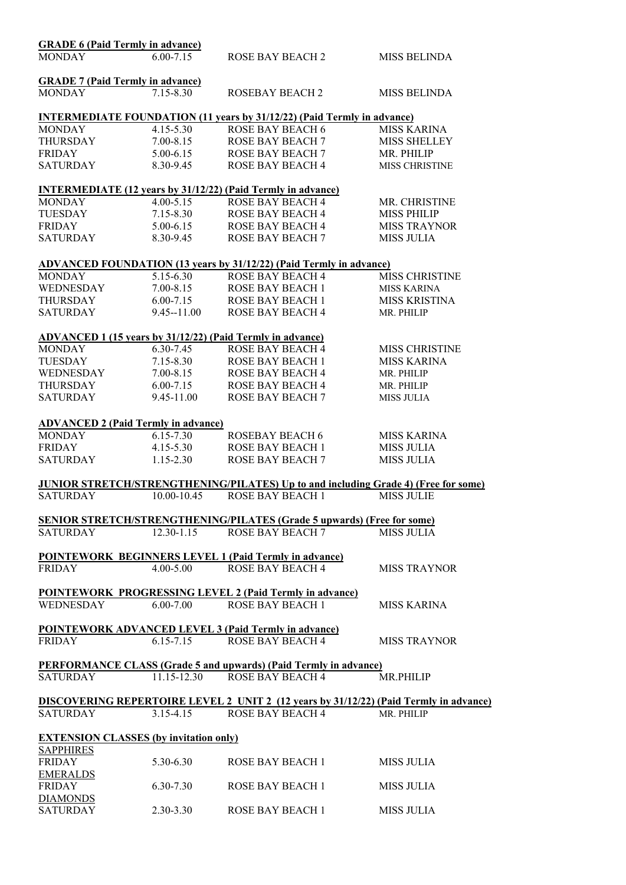| <b>GRADE 6 (Paid Termly in advance)</b>                           |                |                                                                                           |                       |
|-------------------------------------------------------------------|----------------|-------------------------------------------------------------------------------------------|-----------------------|
| <b>MONDAY</b>                                                     | $6.00 - 7.15$  | <b>ROSE BAY BEACH 2</b>                                                                   | <b>MISS BELINDA</b>   |
| <b>GRADE 7 (Paid Termly in advance)</b>                           |                |                                                                                           |                       |
| <b>MONDAY</b>                                                     | 7.15-8.30      | <b>ROSEBAY BEACH 2</b>                                                                    | <b>MISS BELINDA</b>   |
|                                                                   |                | <b>INTERMEDIATE FOUNDATION (11 years by 31/12/22) (Paid Termly in advance)</b>            |                       |
| <b>MONDAY</b>                                                     | 4.15-5.30      | ROSE BAY BEACH 6                                                                          | <b>MISS KARINA</b>    |
| THURSDAY                                                          | 7.00-8.15      | <b>ROSE BAY BEACH 7</b>                                                                   | <b>MISS SHELLEY</b>   |
| FRIDAY                                                            | 5.00-6.15      | <b>ROSE BAY BEACH 7</b>                                                                   | MR. PHILIP            |
| <b>SATURDAY</b>                                                   | 8.30-9.45      | <b>ROSE BAY BEACH 4</b>                                                                   | MISS CHRISTINE        |
|                                                                   |                | <b>INTERMEDIATE (12 years by 31/12/22) (Paid Termly in advance)</b>                       |                       |
| <b>MONDAY</b>                                                     | $4.00 - 5.15$  | ROSE BAY BEACH 4                                                                          | MR. CHRISTINE         |
| TUESDAY                                                           | $7.15 - 8.30$  | <b>ROSE BAY BEACH 4</b>                                                                   | <b>MISS PHILIP</b>    |
| <b>FRIDAY</b>                                                     | 5.00-6.15      | <b>ROSE BAY BEACH 4</b>                                                                   | <b>MISS TRAYNOR</b>   |
| <b>SATURDAY</b>                                                   | 8.30-9.45      | <b>ROSE BAY BEACH 7</b>                                                                   | <b>MISS JULIA</b>     |
|                                                                   |                | ADVANCED FOUNDATION (13 years by 31/12/22) (Paid Termly in advance)                       |                       |
| <b>MONDAY</b>                                                     | 5.15-6.30      | <b>ROSE BAY BEACH 4</b>                                                                   | <b>MISS CHRISTINE</b> |
| WEDNESDAY                                                         | $7.00 - 8.15$  | <b>ROSE BAY BEACH 1</b>                                                                   | <b>MISS KARINA</b>    |
| <b>THURSDAY</b>                                                   | $6.00 - 7.15$  | <b>ROSE BAY BEACH 1</b>                                                                   | <b>MISS KRISTINA</b>  |
| <b>SATURDAY</b>                                                   | $9.45 - 11.00$ | <b>ROSE BAY BEACH 4</b>                                                                   | MR. PHILIP            |
|                                                                   |                | ADVANCED 1 (15 years by 31/12/22) (Paid Termly in advance)                                |                       |
| MONDAY                                                            | 6.30-7.45      | <b>ROSE BAY BEACH 4</b>                                                                   | <b>MISS CHRISTINE</b> |
| TUESDAY                                                           | $7.15 - 8.30$  | ROSE BAY BEACH 1                                                                          | <b>MISS KARINA</b>    |
| WEDNESDAY                                                         | $7.00 - 8.15$  | <b>ROSE BAY BEACH 4</b>                                                                   | MR. PHILIP            |
| THURSDAY                                                          | $6.00 - 7.15$  | <b>ROSE BAY BEACH 4</b>                                                                   | MR. PHILIP            |
| <b>SATURDAY</b>                                                   | 9.45-11.00     | ROSE BAY BEACH 7                                                                          | <b>MISS JULIA</b>     |
| <b>ADVANCED 2 (Paid Termly in advance)</b>                        |                |                                                                                           |                       |
| <b>MONDAY</b>                                                     | 6.15-7.30      | ROSEBAY BEACH 6                                                                           | <b>MISS KARINA</b>    |
| FRIDAY                                                            | $4.15 - 5.30$  | <b>ROSE BAY BEACH 1</b>                                                                   | <b>MISS JULIA</b>     |
| <b>SATURDAY</b>                                                   | $1.15 - 2.30$  | <b>ROSE BAY BEACH 7</b>                                                                   | <b>MISS JULIA</b>     |
|                                                                   |                | <b>JUNIOR STRETCH/STRENGTHENING/PILATES) Up to and including Grade 4) (Free for some)</b> |                       |
| <b>SATURDAY</b>                                                   | 10.00-10.45    | <b>ROSE BAY BEACH 1</b>                                                                   | <b>MISS JULIE</b>     |
|                                                                   |                | <b>SENIOR STRETCH/STRENGTHENING/PILATES (Grade 5 upwards) (Free for some)</b>             |                       |
| <b>SATURDAY</b>                                                   | $12.30 - 1.15$ | <b>ROSE BAY BEACH 7</b>                                                                   | <b>MISS JULIA</b>     |
|                                                                   |                | <b>POINTEWORK BEGINNERS LEVEL 1 (Paid Termly in advance)</b>                              |                       |
| <b>FRIDAY</b>                                                     | $4.00 - 5.00$  | <b>ROSE BAY BEACH 4</b>                                                                   | <b>MISS TRAYNOR</b>   |
|                                                                   |                | <b>POINTEWORK PROGRESSING LEVEL 2 (Paid Termly in advance)</b>                            |                       |
| <b>WEDNESDAY</b>                                                  | $6.00 - 7.00$  | <b>ROSE BAY BEACH 1</b>                                                                   | <b>MISS KARINA</b>    |
|                                                                   |                | <b>POINTEWORK ADVANCED LEVEL 3 (Paid Termly in advance)</b>                               |                       |
| <b>FRIDAY</b>                                                     | $6.15 - 7.15$  | <b>ROSE BAY BEACH 4</b>                                                                   | <b>MISS TRAYNOR</b>   |
|                                                                   |                | <b>PERFORMANCE CLASS (Grade 5 and upwards) (Paid Termly in advance)</b>                   |                       |
| <b>SATURDAY</b>                                                   | 11.15-12.30    | <b>ROSE BAY BEACH 4</b>                                                                   | <b>MR.PHILIP</b>      |
|                                                                   |                | DISCOVERING REPERTOIRE LEVEL 2 UNIT 2 (12 years by 31/12/22) (Paid Termly in advance)     |                       |
| SATURDAY                                                          | $3.15 - 4.15$  | <b>ROSE BAY BEACH 4</b>                                                                   | MR. PHILIP            |
| <b>EXTENSION CLASSES (by invitation only)</b><br><b>SAPPHIRES</b> |                |                                                                                           |                       |
| <b>FRIDAY</b>                                                     | 5.30-6.30      | <b>ROSE BAY BEACH 1</b>                                                                   | <b>MISS JULIA</b>     |
| <u>EMERALDS</u>                                                   |                |                                                                                           |                       |
| <b>FRIDAY</b><br><b>DIAMONDS</b>                                  | 6.30-7.30      | <b>ROSE BAY BEACH 1</b>                                                                   | <b>MISS JULIA</b>     |
| <b>SATURDAY</b>                                                   | 2.30-3.30      | <b>ROSE BAY BEACH 1</b>                                                                   | <b>MISS JULIA</b>     |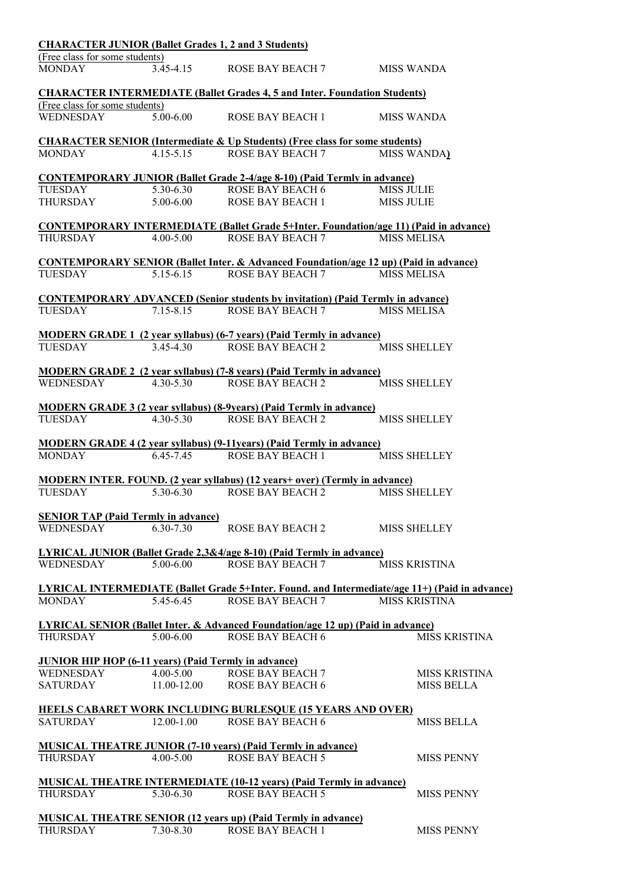|                                                             |                         | <b>CHARACTER JUNIOR (Ballet Grades 1, 2 and 3 Students)</b>                                            |                                                                                                |
|-------------------------------------------------------------|-------------------------|--------------------------------------------------------------------------------------------------------|------------------------------------------------------------------------------------------------|
| (Free class for some students)                              |                         |                                                                                                        |                                                                                                |
| <b>MONDAY</b>                                               | 3.45-4.15               | <b>ROSE BAY BEACH 7</b>                                                                                | MISS WANDA                                                                                     |
|                                                             |                         | <b>CHARACTER INTERMEDIATE (Ballet Grades 4, 5 and Inter. Foundation Students)</b>                      |                                                                                                |
| (Free class for some students)                              |                         |                                                                                                        |                                                                                                |
| WEDNESDAY                                                   | 5.00-6.00               | <b>ROSE BAY BEACH 1</b>                                                                                | <b>MISS WANDA</b>                                                                              |
|                                                             |                         | <b>CHARACTER SENIOR (Intermediate &amp; Up Students) (Free class for some students)</b>                |                                                                                                |
| <b>MONDAY</b>                                               | $4.15 - 5.15$           | <b>ROSE BAY BEACH 7</b>                                                                                | <b>MISS WANDA)</b>                                                                             |
|                                                             |                         | <b>CONTEMPORARY JUNIOR (Ballet Grade 2-4/age 8-10) (Paid Termly in advance)</b>                        |                                                                                                |
| <b>TUESDAY</b>                                              | $5.30 - 6.30$           | ROSE BAY BEACH 6                                                                                       | <b>MISS JULIE</b>                                                                              |
| <b>THURSDAY</b>                                             | 5.00-6.00               | <b>ROSE BAY BEACH 1</b>                                                                                | <b>MISS JULIE</b>                                                                              |
|                                                             |                         | <b>CONTEMPORARY INTERMEDIATE (Ballet Grade 5+Inter. Foundation/age 11) (Paid in advance)</b>           |                                                                                                |
| <b>THURSDAY</b>                                             | $4.00 - 5.00$           | <b>ROSE BAY BEACH 7</b>                                                                                | <b>MISS MELISA</b>                                                                             |
|                                                             |                         |                                                                                                        |                                                                                                |
|                                                             |                         | <b>CONTEMPORARY SENIOR (Ballet Inter. &amp; Advanced Foundation/age 12 up) (Paid in advance)</b>       |                                                                                                |
| <b>TUESDAY</b>                                              | 5.15-6.15               | <b>ROSE BAY BEACH 7</b>                                                                                | <b>MISS MELISA</b>                                                                             |
|                                                             |                         | <b>CONTEMPORARY ADVANCED (Senior students by invitation) (Paid Termly in advance)</b>                  |                                                                                                |
| <b>TUESDAY</b>                                              | $7.15 - 8.15$           | <b>ROSE BAY BEACH 7</b>                                                                                | <b>MISS MELISA</b>                                                                             |
|                                                             |                         |                                                                                                        |                                                                                                |
|                                                             |                         | <b>MODERN GRADE 1 (2 year syllabus) (6-7 years) (Paid Termly in advance)</b>                           |                                                                                                |
| <b>TUESDAY</b>                                              | 3.45-4.30               | <b>ROSE BAY BEACH 2</b>                                                                                | <b>MISS SHELLEY</b>                                                                            |
|                                                             |                         | <b>MODERN GRADE 2</b> (2 year syllabus) (7-8 years) (Paid Termly in advance)                           |                                                                                                |
| <b>WEDNESDAY</b>                                            | $4.30 - 5.30$           | <b>ROSE BAY BEACH 2</b>                                                                                | <b>MISS SHELLEY</b>                                                                            |
|                                                             |                         |                                                                                                        |                                                                                                |
| <b>TUESDAY</b>                                              | 4.30-5.30               | <b>MODERN GRADE 3 (2 year syllabus) (8-9years) (Paid Termly in advance)</b><br><b>ROSE BAY BEACH 2</b> | <b>MISS SHELLEY</b>                                                                            |
|                                                             |                         |                                                                                                        |                                                                                                |
|                                                             |                         | <b>MODERN GRADE 4 (2 year syllabus) (9-11 years) (Paid Termly in advance)</b>                          |                                                                                                |
| <b>MONDAY</b>                                               | 6.45-7.45               | <b>ROSE BAY BEACH 1</b>                                                                                | <b>MISS SHELLEY</b>                                                                            |
|                                                             |                         | MODERN INTER. FOUND. (2 year syllabus) (12 years+ over) (Termly in advance)                            |                                                                                                |
| <b>TUESDAY</b>                                              | 5.30-6.30               | <b>ROSE BAY BEACH 2</b>                                                                                | <b>MISS SHELLEY</b>                                                                            |
|                                                             |                         |                                                                                                        |                                                                                                |
| <b>SENIOR TAP (Paid Termly in advance)</b>                  |                         |                                                                                                        |                                                                                                |
| WEDNESDAY                                                   | $6,30-7,30$             | <b>ROSE BAY BEACH 2</b>                                                                                | <b>MISS SHELLEY</b>                                                                            |
|                                                             |                         | <b>LYRICAL JUNIOR (Ballet Grade 2,3&amp;4/age 8-10) (Paid Termly in advance)</b>                       |                                                                                                |
| WEDNESDAY                                                   | $5.00 - 6.00$           | <b>ROSE BAY BEACH 7</b>                                                                                | <b>MISS KRISTINA</b>                                                                           |
|                                                             |                         |                                                                                                        |                                                                                                |
|                                                             |                         |                                                                                                        | LYRICAL INTERMEDIATE (Ballet Grade 5+Inter. Found. and Intermediate/age 11+) (Paid in advance) |
| <b>MONDAY</b>                                               | 5.45-6.45               | <b>ROSE BAY BEACH 7</b>                                                                                | <b>MISS KRISTINA</b>                                                                           |
|                                                             |                         | LYRICAL SENIOR (Ballet Inter. & Advanced Foundation/age 12 up) (Paid in advance)                       |                                                                                                |
| <b>THURSDAY</b>                                             | 5.00-6.00               | <b>ROSE BAY BEACH 6</b>                                                                                | <b>MISS KRISTINA</b>                                                                           |
| <b>JUNIOR HIP HOP (6-11 years) (Paid Termly in advance)</b> |                         |                                                                                                        |                                                                                                |
| WEDNESDAY                                                   | $\overline{4.00}$ -5.00 | <b>ROSE BAY BEACH 7</b>                                                                                | <b>MISS KRISTINA</b>                                                                           |
| <b>SATURDAY</b>                                             | 11.00-12.00             | <b>ROSE BAY BEACH 6</b>                                                                                | <b>MISS BELLA</b>                                                                              |
|                                                             |                         |                                                                                                        |                                                                                                |
| <b>SATURDAY</b>                                             | 12.00-1.00              | HEELS CABARET WORK INCLUDING BURLESQUE (15 YEARS AND OVER)<br><b>ROSE BAY BEACH 6</b>                  | <b>MISS BELLA</b>                                                                              |
|                                                             |                         |                                                                                                        |                                                                                                |
|                                                             |                         | <b>MUSICAL THEATRE JUNIOR (7-10 years) (Paid Termly in advance)</b>                                    |                                                                                                |
| <b>THURSDAY</b>                                             | $4.00 - 5.00$           | <b>ROSE BAY BEACH 5</b>                                                                                | <b>MISS PENNY</b>                                                                              |
|                                                             |                         | <b>MUSICAL THEATRE INTERMEDIATE (10-12 years) (Paid Termly in advance)</b>                             |                                                                                                |
| <b>THURSDAY</b>                                             | 5.30-6.30               | <b>ROSE BAY BEACH 5</b>                                                                                | <b>MISS PENNY</b>                                                                              |
|                                                             |                         |                                                                                                        |                                                                                                |
|                                                             |                         | <b>MUSICAL THEATRE SENIOR (12 years up) (Paid Termly in advance)</b>                                   |                                                                                                |
| THURSDAY                                                    | 7.30-8.30               | <b>ROSE BAY BEACH 1</b>                                                                                | <b>MISS PENNY</b>                                                                              |